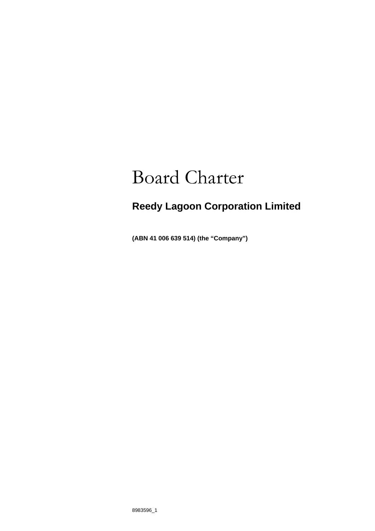# Board Charter

# **Reedy Lagoon Corporation Limited**

**(ABN 41 006 639 514) (the "Company")**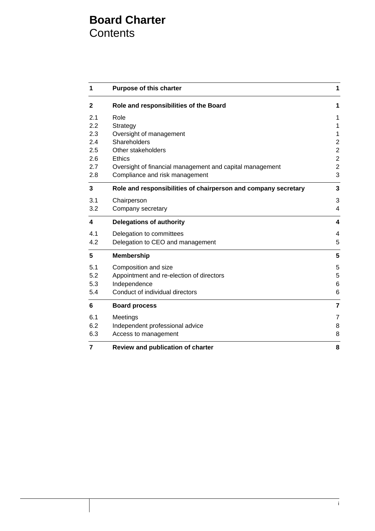## **Board Charter Contents**

| 1            | <b>Purpose of this charter</b>                                 | 1              |
|--------------|----------------------------------------------------------------|----------------|
| $\mathbf{2}$ | Role and responsibilities of the Board                         | 1              |
| 2.1          | Role                                                           | 1              |
| 2.2          | Strategy                                                       | $\mathbf{1}$   |
| 2.3          | Oversight of management                                        | $\mathbf{1}$   |
| 2.4          | Shareholders                                                   | $\mathbf 2$    |
| 2.5          | Other stakeholders                                             | $\mathbf 2$    |
| 2.6          | <b>Ethics</b>                                                  | $\overline{2}$ |
| 2.7          | Oversight of financial management and capital management       | $\overline{2}$ |
| 2.8          | Compliance and risk management                                 | 3              |
| 3            | Role and responsibilities of chairperson and company secretary | 3              |
| 3.1          | Chairperson                                                    | 3              |
| 3.2          | Company secretary                                              | $\overline{4}$ |
| 4            | <b>Delegations of authority</b>                                | 4              |
| 4.1          | Delegation to committees                                       | $\overline{4}$ |
| 4.2          | Delegation to CEO and management                               | 5              |
| 5            | <b>Membership</b>                                              | 5              |
| 5.1          | Composition and size                                           | 5              |
| 5.2          | Appointment and re-election of directors                       | 5              |
| 5.3          | Independence                                                   | 6              |
| 5.4          | Conduct of individual directors                                | 6              |
| 6            | <b>Board process</b>                                           | $\overline{7}$ |
| 6.1          | Meetings                                                       | 7              |
| 6.2          | Independent professional advice                                | 8              |
| 6.3          | Access to management                                           | 8              |
| 7            | Review and publication of charter                              | 8              |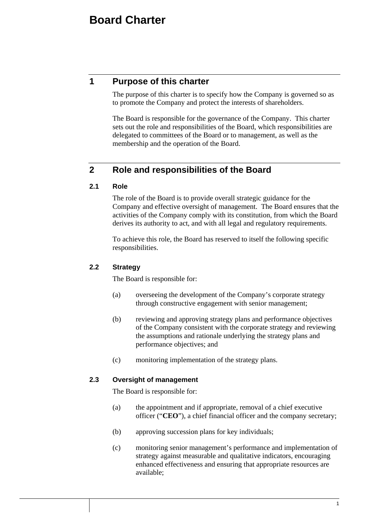## **1 Purpose of this charter**

The purpose of this charter is to specify how the Company is governed so as to promote the Company and protect the interests of shareholders.

The Board is responsible for the governance of the Company. This charter sets out the role and responsibilities of the Board, which responsibilities are delegated to committees of the Board or to management, as well as the membership and the operation of the Board.

## **2 Role and responsibilities of the Board**

## **2.1 Role**

The role of the Board is to provide overall strategic guidance for the Company and effective oversight of management. The Board ensures that the activities of the Company comply with its constitution, from which the Board derives its authority to act, and with all legal and regulatory requirements.

To achieve this role, the Board has reserved to itself the following specific responsibilities.

## **2.2 Strategy**

The Board is responsible for:

- (a) overseeing the development of the Company's corporate strategy through constructive engagement with senior management;
- (b) reviewing and approving strategy plans and performance objectives of the Company consistent with the corporate strategy and reviewing the assumptions and rationale underlying the strategy plans and performance objectives; and
- (c) monitoring implementation of the strategy plans.

## **2.3 Oversight of management**

The Board is responsible for:

- (a) the appointment and if appropriate, removal of a chief executive officer ("**CEO**"), a chief financial officer and the company secretary;
- (b) approving succession plans for key individuals;
- (c) monitoring senior management's performance and implementation of strategy against measurable and qualitative indicators, encouraging enhanced effectiveness and ensuring that appropriate resources are available;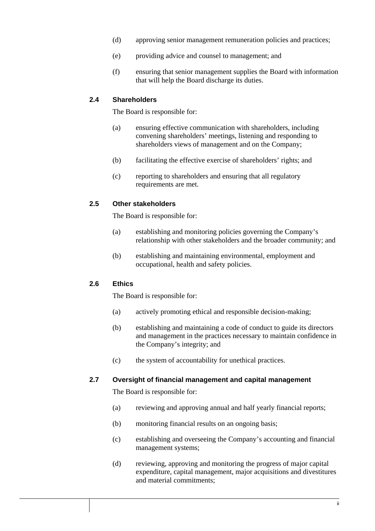- (d) approving senior management remuneration policies and practices;
- (e) providing advice and counsel to management; and
- (f) ensuring that senior management supplies the Board with information that will help the Board discharge its duties.

#### **2.4 Shareholders**

The Board is responsible for:

- (a) ensuring effective communication with shareholders, including convening shareholders' meetings, listening and responding to shareholders views of management and on the Company;
- (b) facilitating the effective exercise of shareholders' rights; and
- (c) reporting to shareholders and ensuring that all regulatory requirements are met.

#### **2.5 Other stakeholders**

The Board is responsible for:

- (a) establishing and monitoring policies governing the Company's relationship with other stakeholders and the broader community; and
- (b) establishing and maintaining environmental, employment and occupational, health and safety policies.

### **2.6 Ethics**

The Board is responsible for:

- (a) actively promoting ethical and responsible decision-making;
- (b) establishing and maintaining a code of conduct to guide its directors and management in the practices necessary to maintain confidence in the Company's integrity; and
- (c) the system of accountability for unethical practices.

#### **2.7 Oversight of financial management and capital management**

The Board is responsible for:

- (a) reviewing and approving annual and half yearly financial reports;
- (b) monitoring financial results on an ongoing basis;
- (c) establishing and overseeing the Company's accounting and financial management systems;
- (d) reviewing, approving and monitoring the progress of major capital expenditure, capital management, major acquisitions and divestitures and material commitments;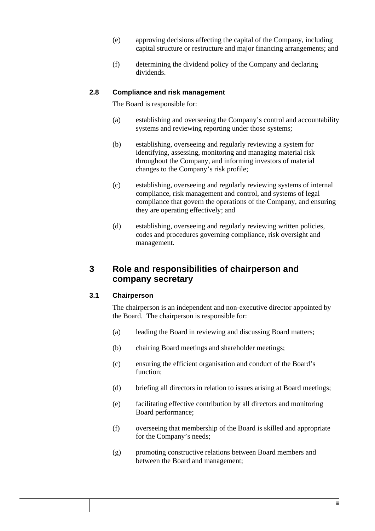- (e) approving decisions affecting the capital of the Company, including capital structure or restructure and major financing arrangements; and
- (f) determining the dividend policy of the Company and declaring dividends.

## **2.8 Compliance and risk management**

The Board is responsible for:

- (a) establishing and overseeing the Company's control and accountability systems and reviewing reporting under those systems;
- (b) establishing, overseeing and regularly reviewing a system for identifying, assessing, monitoring and managing material risk throughout the Company, and informing investors of material changes to the Company's risk profile;
- (c) establishing, overseeing and regularly reviewing systems of internal compliance, risk management and control, and systems of legal compliance that govern the operations of the Company, and ensuring they are operating effectively; and
- (d) establishing, overseeing and regularly reviewing written policies, codes and procedures governing compliance, risk oversight and management.

## **3 Role and responsibilities of chairperson and company secretary**

### **3.1 Chairperson**

The chairperson is an independent and non-executive director appointed by the Board. The chairperson is responsible for:

- (a) leading the Board in reviewing and discussing Board matters;
- (b) chairing Board meetings and shareholder meetings;
- (c) ensuring the efficient organisation and conduct of the Board's function;
- (d) briefing all directors in relation to issues arising at Board meetings;
- (e) facilitating effective contribution by all directors and monitoring Board performance;
- (f) overseeing that membership of the Board is skilled and appropriate for the Company's needs;
- (g) promoting constructive relations between Board members and between the Board and management;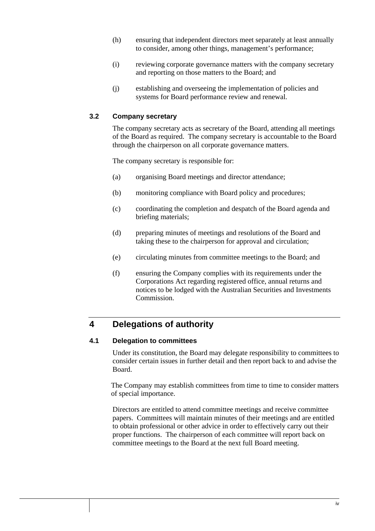- (h) ensuring that independent directors meet separately at least annually to consider, among other things, management's performance;
- (i) reviewing corporate governance matters with the company secretary and reporting on those matters to the Board; and
- (j) establishing and overseeing the implementation of policies and systems for Board performance review and renewal.

## **3.2 Company secretary**

The company secretary acts as secretary of the Board, attending all meetings of the Board as required. The company secretary is accountable to the Board through the chairperson on all corporate governance matters.

The company secretary is responsible for:

- (a) organising Board meetings and director attendance;
- (b) monitoring compliance with Board policy and procedures;
- (c) coordinating the completion and despatch of the Board agenda and briefing materials;
- (d) preparing minutes of meetings and resolutions of the Board and taking these to the chairperson for approval and circulation;
- (e) circulating minutes from committee meetings to the Board; and
- (f) ensuring the Company complies with its requirements under the Corporations Act regarding registered office, annual returns and notices to be lodged with the Australian Securities and Investments Commission.

## **4 Delegations of authority**

### **4.1 Delegation to committees**

Under its constitution, the Board may delegate responsibility to committees to consider certain issues in further detail and then report back to and advise the Board.

The Company may establish committees from time to time to consider matters of special importance.

Directors are entitled to attend committee meetings and receive committee papers. Committees will maintain minutes of their meetings and are entitled to obtain professional or other advice in order to effectively carry out their proper functions. The chairperson of each committee will report back on committee meetings to the Board at the next full Board meeting.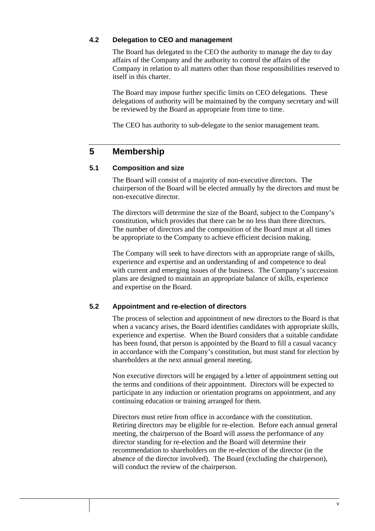## **4.2 Delegation to CEO and management**

The Board has delegated to the CEO the authority to manage the day to day affairs of the Company and the authority to control the affairs of the Company in relation to all matters other than those responsibilities reserved to itself in this charter.

The Board may impose further specific limits on CEO delegations. These delegations of authority will be maintained by the company secretary and will be reviewed by the Board as appropriate from time to time.

The CEO has authority to sub-delegate to the senior management team.

## **5 Membership**

## **5.1 Composition and size**

The Board will consist of a majority of non-executive directors. The chairperson of the Board will be elected annually by the directors and must be non-executive director.

The directors will determine the size of the Board, subject to the Company's constitution, which provides that there can be no less than three directors. The number of directors and the composition of the Board must at all times be appropriate to the Company to achieve efficient decision making.

The Company will seek to have directors with an appropriate range of skills, experience and expertise and an understanding of and competence to deal with current and emerging issues of the business. The Company's succession plans are designed to maintain an appropriate balance of skills, experience and expertise on the Board.

## **5.2 Appointment and re-election of directors**

The process of selection and appointment of new directors to the Board is that when a vacancy arises, the Board identifies candidates with appropriate skills, experience and expertise. When the Board considers that a suitable candidate has been found, that person is appointed by the Board to fill a casual vacancy in accordance with the Company's constitution, but must stand for election by shareholders at the next annual general meeting.

Non executive directors will be engaged by a letter of appointment setting out the terms and conditions of their appointment. Directors will be expected to participate in any induction or orientation programs on appointment, and any continuing education or training arranged for them.

Directors must retire from office in accordance with the constitution. Retiring directors may be eligible for re-election. Before each annual general meeting, the chairperson of the Board will assess the performance of any director standing for re-election and the Board will determine their recommendation to shareholders on the re-election of the director (in the absence of the director involved). The Board (excluding the chairperson), will conduct the review of the chairperson.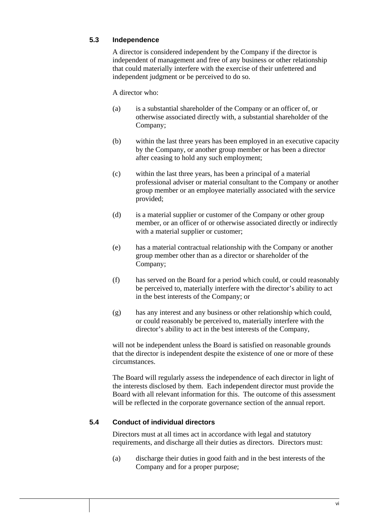## **5.3 Independence**

A director is considered independent by the Company if the director is independent of management and free of any business or other relationship that could materially interfere with the exercise of their unfettered and independent judgment or be perceived to do so.

#### A director who:

- (a) is a substantial shareholder of the Company or an officer of, or otherwise associated directly with, a substantial shareholder of the Company;
- (b) within the last three years has been employed in an executive capacity by the Company, or another group member or has been a director after ceasing to hold any such employment;
- (c) within the last three years, has been a principal of a material professional adviser or material consultant to the Company or another group member or an employee materially associated with the service provided;
- (d) is a material supplier or customer of the Company or other group member, or an officer of or otherwise associated directly or indirectly with a material supplier or customer:
- (e) has a material contractual relationship with the Company or another group member other than as a director or shareholder of the Company;
- (f) has served on the Board for a period which could, or could reasonably be perceived to, materially interfere with the director's ability to act in the best interests of the Company; or
- (g) has any interest and any business or other relationship which could, or could reasonably be perceived to, materially interfere with the director's ability to act in the best interests of the Company,

will not be independent unless the Board is satisfied on reasonable grounds that the director is independent despite the existence of one or more of these circumstances.

The Board will regularly assess the independence of each director in light of the interests disclosed by them. Each independent director must provide the Board with all relevant information for this. The outcome of this assessment will be reflected in the corporate governance section of the annual report.

## **5.4 Conduct of individual directors**

Directors must at all times act in accordance with legal and statutory requirements, and discharge all their duties as directors. Directors must:

(a) discharge their duties in good faith and in the best interests of the Company and for a proper purpose;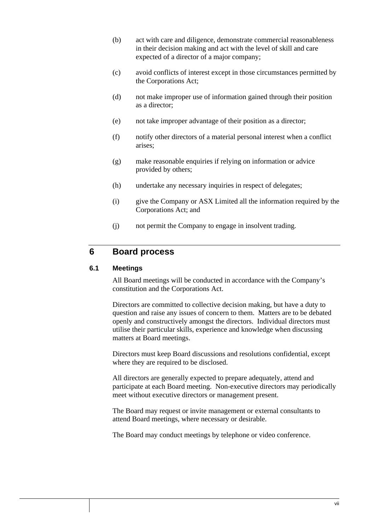- (b) act with care and diligence, demonstrate commercial reasonableness in their decision making and act with the level of skill and care expected of a director of a major company;
- (c) avoid conflicts of interest except in those circumstances permitted by the Corporations Act;
- (d) not make improper use of information gained through their position as a director;
- (e) not take improper advantage of their position as a director;
- (f) notify other directors of a material personal interest when a conflict arises;
- (g) make reasonable enquiries if relying on information or advice provided by others;
- (h) undertake any necessary inquiries in respect of delegates;
- (i) give the Company or ASX Limited all the information required by the Corporations Act; and
- (j) not permit the Company to engage in insolvent trading.

## **6 Board process**

## **6.1 Meetings**

All Board meetings will be conducted in accordance with the Company's constitution and the Corporations Act.

Directors are committed to collective decision making, but have a duty to question and raise any issues of concern to them. Matters are to be debated openly and constructively amongst the directors. Individual directors must utilise their particular skills, experience and knowledge when discussing matters at Board meetings.

Directors must keep Board discussions and resolutions confidential, except where they are required to be disclosed.

All directors are generally expected to prepare adequately, attend and participate at each Board meeting. Non-executive directors may periodically meet without executive directors or management present.

The Board may request or invite management or external consultants to attend Board meetings, where necessary or desirable.

The Board may conduct meetings by telephone or video conference.